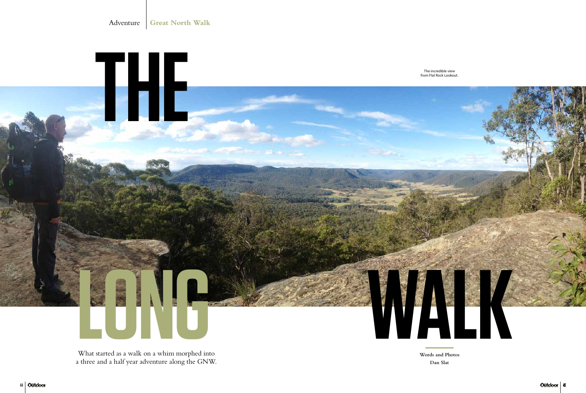**Words and Photos Dan Slat**



What started as a walk on a whim morphed into a three and a half year adventure along the GNW.

Adventure **Great North Walk**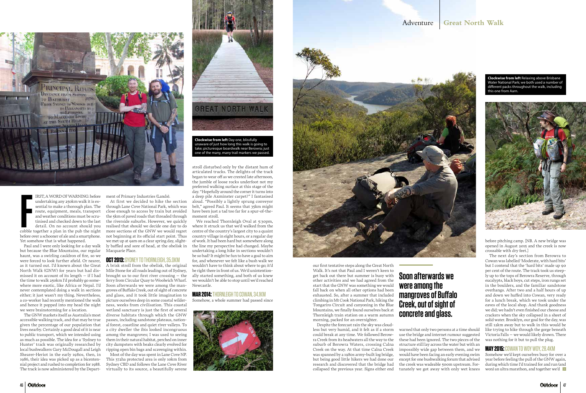

**FRST, A WORD OF WARNING: before**<br>
undertaking any 250km walk it is essential to make a thorough plan. The<br>
route, equipment, meals, transport<br>
and weather conditions must be scru-<br>
tinised and checked down to the last<br>
de IRST, A WORD OF WARNING: before undertaking any 250km walk it is essential to make a thorough plan. The route, equipment, meals, transport and weather conditions must be scrutinised and checked down to the last detail. On no account should you before over a schooner of ale and a smartphone. Yet somehow that is what happened.

Paul and I were only looking for a day walk but because the Blue Mountains, our regular haunt, was a swirling cauldron of fire, so we were forced to look further afield. Or nearer, as it turned out. I'd known about the Great North Walk (GNW) for years but had dismissed it on account of its length – if I had the time to walk 250km I'd probably go somewhere more exotic, like Africa or Nepal. I'd never contemplated doing a walk in sections either; it just wasn't my thing. Nevertheless, a co-worker had recently mentioned the walk and hence it popped into my head the night we were brainstorming for a location.

The GNW markets itself as Australia's most accessible walking track, and that may be true given the percentage of our population that lives nearby. Certainly a good deal of it is near to public transport, which we intended using as much as possible. The idea for a 'Sydney to Hunter' track was originally researched by local bushwalkers Gary McDougall and Leigh Shearer-Heriot in the early 1980s, then, in 1986, their idea was picked up as a bicentennial project and rushed to completion for 1988. The track is now administered by the Department of Primary Industries (Lands).

At first we decided to hike the section through Lane Cove National Park, which was close enough to access by train but avoided the 5km of paved roads that threaded through the riverside suburbs. However, we quickly realised that should we decide one day to do more sections of the GNW we would regret not beginning at its official start point. Thus we met up at 9am on a clear spring day, slightly baffled and sore of head, at the obelisk in Macquarie Place.

### **OCT 2013:** SYDNEY TO THORNLEIGH, 35.0KM

A brisk stroll from the obelisk, the original Mile Stone for all roads leading out of Sydney, brought us to our first river crossing – the ferry from Circular Quay to Woolwich Wharf. Soon afterwards we were among the mangroves of Buffalo Creek, out of sight of concrete and glass, and it took little imagination to picture ourselves deep in some coastal wilderness, weeks from civilisation. This coastal wetland sanctuary is just the first of several diverse habitats through which the GNW passes, including sandstone plateaus, national forest, coastline and quiet river valleys. To a city dweller the ibis looked incongruous among the mangroves; I was used to seeing them in their natural habitat, perched on inner city dumpsters with beaks clearly evolved for ripping open bin bags and scavenging within.

We reached Thornleigh Oval at 5:30pm, where it struck us that we'd walked from the centre of the country's largest city to a quaint country village in eight hours, or a regular day of work. It had been hard but somewhere along the line my perspective had changed. Maybe undertaking a long hike in sections wouldn't be so bad? It might be fun to have a goal to aim for, and whenever we felt like a bush walk we wouldn't have to think about where to go; it'd be right there in front of us. We'd unintentionally started something, and both of us knew we wouldn't be able to stop until we'd reached Newcastle.

Most of the day was spent in Lane Cove NP. This 372ha protected area is only 10km from Sydney CBD and follows the Lane Cove River virtually to its source, a beautifully serene



# **were among the**

# **Soon afterwards we mangroves of Buffalo Creek, out of sight of concrete and glass.**

our first tentative steps along the Great North Walk. It's not that Paul and I weren't keen to get back out there but summer is busy with other activities and we had agreed from the start that the GNW was something we would fall back on when all other options had been exhausted. So, after a summer that included climbing in Mt Cook National Park, hiking the Tongariro Circuit and canyoning in the Blue Mountains, we finally found ourselves back at Thornleigh train station on a warm autumn morning, packed for an overnighter.

Despite the forecast rain the sky was cloudless but very humid, and it felt as if a storm could break at any time. We followed Berowra Creek from its headwaters all the way to the suburb of Berowra Waters, crossing Calna Creek on the way. At that time Calna Creek was spanned by a 1980s army-built log bridge, but being good little hikers we had done our research and discovered that the bridge had collapsed the previous year. Signs either end

warned that only two persons at a time should use the bridge and internet rumour suggested these had been ignored. The two pieces of the structure still lay across the water but with an impossibly wide gap between them, and we would have been facing an early evening swim except for one bushwalking forum that advised the creek was wadeable 500m upstream. Fortunately we got away with only wet knees

**Clockwise from left** Relaxing above Brisbane Water National Park; we both used a number of different packs throughout the walk, including this one from Aarn.



stroll disturbed only by the distant hum of articulated trucks. The delights of the track began to wear off as we crested late afternoon, the jumble of loose rocks underfoot not my preferred walking surface at this stage of the day. "Hopefully around the corner it turns into a deep pile Axminster carpet?" I fantasised aloud. "Possibly a lightly sprung conveyor belt," agreed Paul. It seems that 35km might have been just a tad too far for a spur-of-themoment stroll.

### **MAR 2014:** THORNLEIGH TO COWAN, 34.1KM

Somehow, a whole summer had passed since





before pitching camp. [NB. A new bridge was opened in August 2015 and the creek is now crossable with dry feet.]

The next day's section from Berowra to Cowan was labelled 'Moderate, with hard bits' but I contend that the 'hard bits' made up 90 per cent of the route. The track took us steeply up to the tops of Berowra Reserve, through eucalypts, black boys, cut steps, iron rungs set in the boulders, and the familiar sandstone overhangs. After two and a half hours of up and down we huffed into Cowan, very ready for a lunch break, which we took under the eaves of the local shop. And thank goodness we did; we hadn't even finished our cheese and crackers when the sky collapsed in a sheet of solid water. Brooklyn, our goal for the day, was still 12km away but to walk in this would be like trying to hike through the gorge beneath Victoria Falls – we would likely drown. There was nothing for it but to pull the plug.

### **MAY 2015:** COWAN TO WOY WOY, 28.4KM

Somehow we'd kept ourselves busy for over a year before feeling the pull of the GNW again, during which time I'd trained for and run (and won) an ultra marathon, and together we'd

## Adventure **Great North Walk**

**Clockwise from left** Day one, blissfully unaware of just how long this walk is going to take; picturesque boardwalk near Berowra; just one of the many, many trail markers we passed.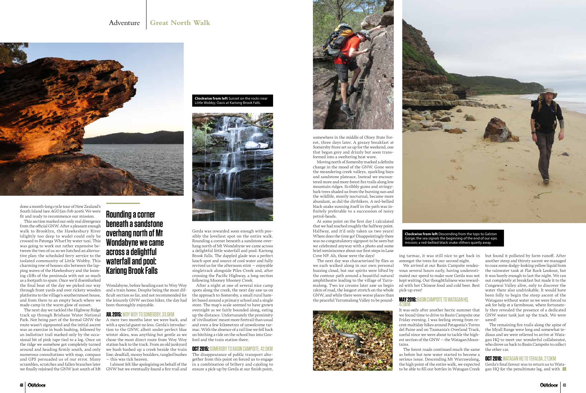done a month-long cycle tour of New Zealand's South Island (see *AGO* Jan-Feb 2016). We were fit and ready to recommence our mission.

This section marked our only real divergence from the official GNW. After a pleasant enough walk to Brooklyn, the Hawkesbury River (slightly too deep to wade) could only be crossed to Patonga Wharf by water taxi. This was going to work out rather expensive between the two of us so we hatched an alternative plan: the scheduled ferry service to the isolated community of Little Wobby. This charming row of houses sits between the lapping waves of the Hawkesbury and the looming cliffs of the peninsula with not so much as a footpath to spare. Once we'd disembarked the final boat of the day we picked our way through front yards and over rickety wooden platforms to the village's southernmost house, and from there to an empty beach where we made camp in the warm glow of sunset.

The next day we tackled the Highway Ridge track up through Brisbane Water National Park. Not being part of the formal GNW the route wasn't signposted and the initial ascent was an exercise in bush bashing, followed by an indistinct trail marked only by the occasional bit of pink tape tied to a log. Once on the ridge we somehow got completely turned around and heading firmly south, and only numerous consultations with map, compass and GPS persuaded us of our error. Many scrambles, scratches and fallen branches later we finally rejoined the GNW just south of Mt

Wondabyne, before heading east to Woy Woy and a train home. Despite being the most difficult section so far, and not recommended for the leisurely GNW section hiker, the day had been thoroughly enjoyable.

### **JUL 2015:** WOY WOY TO SOMERSBY, 33.6KM

A mere two months later we were back, and with a special guest no less. Gerda's introduction to the GNW, albeit under perfect blue winter skies, was anything but gentle as we chose the most direct route from Woy Woy station back to the track. From an old junkyard we bush bashed up a creek beside the train line; deadfall, mossy boulders, tangled bushes – this was tick heaven.

I almost felt like apologising on behalf of the GNW but we eventually found a fire trail and



Gerda was rewarded soon enough with possibly the loveliest spot on the entire walk. Rounding a corner beneath a sandstone overhang north of Mt Wondabyne we came across a delightful little waterfall and pool: Kariong Brook Falls. The dappled glade was a perfect lunch spot and source of cool water and fully revived us for the afternoon stint – enjoyable singletrack alongside Piles Creek and, after crossing the Pacific Highway, a long section following Mooney Mooney Creek.

After a night at one of several nice camp spots along the creek, the next day saw us on the approach to Somersby, a small rural hamlet based around a primary school and a single store. The map's scale seemed to have grown overnight as we fairly bounded along, eating up the distance. Unfortunately the proximity of 'civilisation' meant more firetrail than usual and even a few kilometres of unwelcome tarmac. With the absence of a rail line we fell back on hitching a ride on the school bus into Gosford and the train station there.

### **OCT 2015:** SOMERSBY TO BASIN CAMPSITE, 42.0KM

Gerda's final favour was to return us to Watagan HQ for the penultimate leg, and with

The disappearance of public transport altogether from this point on forced us to engage in a combination of bribery and cajoling to ensure a pick-up by Gerda at our finish point,



somewhere in the middle of Olney State Forest, three days later. A greasy breakfast at Somersby Store set us up for the weekend, one that began grey and drizzly but soon transformed into a sweltering heat wave.

Moving north of Somersby marked a definite change in the mood of the GNW. Gone were the meandering creek valleys, sparkling bays and sandstone plateaux. Instead we encountered more and more forest fire trails along low mountain ridges. Scribbly gums and stringybark trees shaded us from the burning sun and the wildlife, mostly nocturnal, became more abundant, as did the dirtbikers. A red-bellied black snake sunning itself in the path was infinitely preferable to a succession of noisy petrol-heads.

At some point on the first day I calculated that we had reached roughly the halfway point. Halfway, and it'd only taken us two years! Where does the time go? Disappointingly there was no congratulatory signpost to be seen but we celebrated anyway with a photo and some brief reminiscence about our first steps in Lane Cove NP. Ah, those were the days!

The next day was characterised by flies as we each walked along in our own personal buzzing cloud, but our spirits were lifted by the contour path around a beautiful natural amphitheatre leading to the village of Yarramalong. Two ice creams later saw us begin 11km of road, the longest stretch on the whole GNW, and while there were worse places than the peaceful Yarramalong Valley to be pound-



ing tarmac, it was still nice to get back in amongst the trees for our second night. We arrived at our Basin Campsite rendezvous several hours early, having underesti-

mated our speed to make sure Gerda was not kept waiting. Our thoughtfulness was rewarded with hot Chinese food and cold beer. Best

pick-up ever!

### **MAY 2016:** BASIN CAMPSITE TO WATAGAN HQ,

# 47.0KM

It was only after another hectic summer that we found time to drive to Basin Campsite one Friday evening. I was feeling strong from recent multiday hikes around Patagonia's Torres del Paine and on Tasmania's Overland Track, useful since we were about to tackle the highest section of the GNW – the Watagan Moun-

tains.

The forest roads continued much the same as before but now water started to become a serious issue. Descending Mt Warrawalong, the high point of the entire walk, we expected to be able to fill our bottles in Watagan Creek



but found it polluted by farm runoff. After another steep and thirsty ascent we managed to coax some dodgy-looking yellow liquid from the rainwater tank at Flat Rock Lookout, but it was barely enough to last the night. We ran out completely at breakfast but made it to the Congewai Valley alive, only to discover the water there also undrinkable. It would have been folly to begin the steep ascent of the Watagans without water so we were forced to ask for help at a farmhouse, where fortunately they revealed the presence of a dedicated GNW water tank just up the track. We were saved!

The remaining fire trails along the spine of the Myall Range were long and somewhat tedious and we were relieved to arrive at Watagan HQ to meet our wonderful collaborator, who drove us back to Basin Campsite to collect the other car.

### **OCT 2016:** WATAGAN HQ TO TERALBA, 27.0KM

# **Rounding a corner beneath a sandstone overhang north of Mt Wondabyne we came across a delightful waterfall and pool: Kariong Brook Falls**

**Clockwise from left** Sunset on the rocks near Little Wobby; Oasis at Kariong Brook Falls.



**Clockwise from left** Descending from the tops to Galston Gorge; the sea signals the beginning of the end of our epic mission; a red-bellied black snake slithers quietly away.